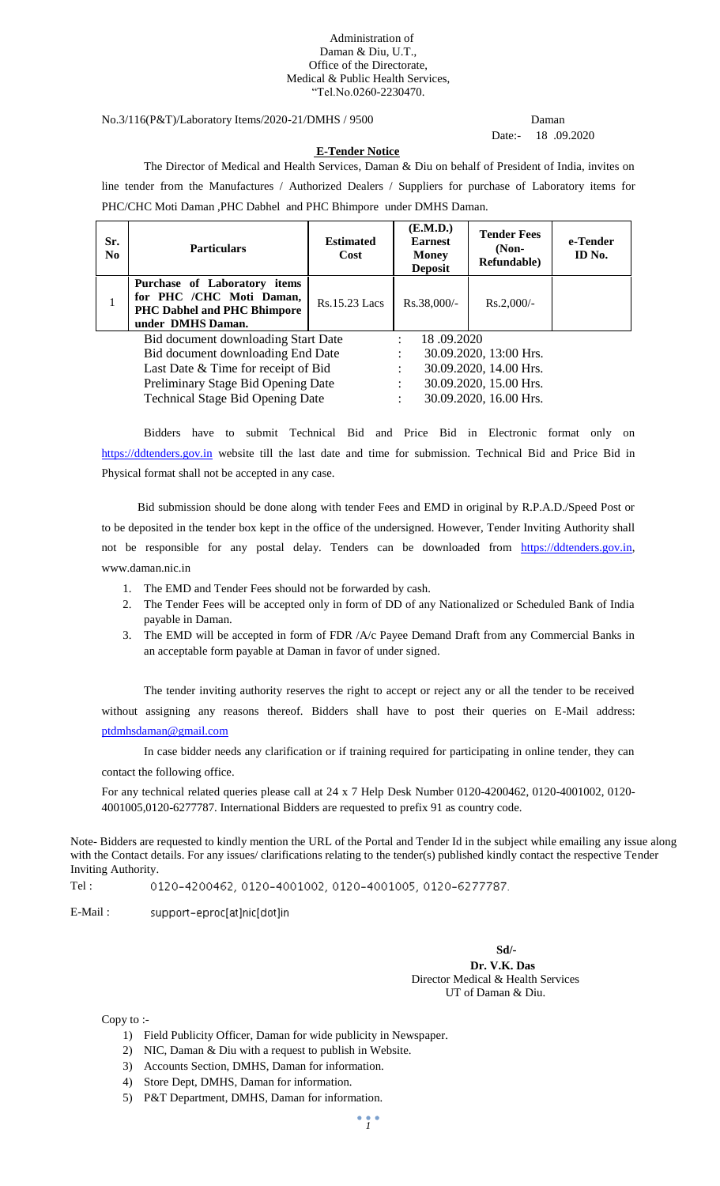#### Administration of Daman & Diu, U.T., Office of the Directorate, Medical & Public Health Services, "Tel.No.0260-2230470.

No.3/116(P&T)/Laboratory Items/2020-21/DMHS / 9500 Daman

# Date:- 18 .09.2020

#### **E-Tender Notice**

The Director of Medical and Health Services, Daman & Diu on behalf of President of India, invites on line tender from the Manufactures / Authorized Dealers / Suppliers for purchase of Laboratory items for PHC/CHC Moti Daman ,PHC Dabhel and PHC Bhimpore under DMHS Daman.

| Sr.<br>N <sub>0</sub>                   | <b>Particulars</b>                                                                                                  | <b>Estimated</b><br>Cost | (E.M.D.)<br><b>Earnest</b><br><b>Money</b><br><b>Deposit</b> | <b>Tender Fees</b><br>$(Non-$<br>Refundable) | e-Tender<br>ID No. |  |  |
|-----------------------------------------|---------------------------------------------------------------------------------------------------------------------|--------------------------|--------------------------------------------------------------|----------------------------------------------|--------------------|--|--|
| $\mathbf{I}$                            | Purchase of Laboratory items<br>for PHC /CHC Moti Daman,<br><b>PHC Dabhel and PHC Bhimpore</b><br>under DMHS Daman. | Rs.15.23 Lacs            | $Rs.38,000/-$                                                | $Rs.2,000/-$                                 |                    |  |  |
| Bid document downloading Start Date     |                                                                                                                     |                          | 18.09.2020                                                   |                                              |                    |  |  |
|                                         | Bid document downloading End Date                                                                                   |                          | 30.09.2020, 13:00 Hrs.                                       |                                              |                    |  |  |
|                                         | Last Date & Time for receipt of Bid                                                                                 |                          | 30.09.2020, 14.00 Hrs.                                       |                                              |                    |  |  |
|                                         | Preliminary Stage Bid Opening Date                                                                                  |                          |                                                              | 30.09.2020, 15.00 Hrs.                       |                    |  |  |
| <b>Technical Stage Bid Opening Date</b> |                                                                                                                     |                          | 30.09.2020, 16.00 Hrs.                                       |                                              |                    |  |  |

Bidders have to submit Technical Bid and Price Bid in Electronic format only on [https://ddtenders.gov.in](https://ddtenders.gov.in/) website till the last date and time for submission. Technical Bid and Price Bid in Physical format shall not be accepted in any case.

 Bid submission should be done along with tender Fees and EMD in original by R.P.A.D./Speed Post or to be deposited in the tender box kept in the office of the undersigned. However, Tender Inviting Authority shall not be responsible for any postal delay. Tenders can be downloaded from [https://ddtenders.gov.in,](https://ddtenders.gov.in/) www.daman.nic.in

- 1. The EMD and Tender Fees should not be forwarded by cash.
- 2. The Tender Fees will be accepted only in form of DD of any Nationalized or Scheduled Bank of India payable in Daman.
- 3. The EMD will be accepted in form of FDR /A/c Payee Demand Draft from any Commercial Banks in an acceptable form payable at Daman in favor of under signed.

The tender inviting authority reserves the right to accept or reject any or all the tender to be received without assigning any reasons thereof. Bidders shall have to post their queries on E-Mail address: [ptdmhsdaman@gmail.com](mailto:ptdmhsdaman@gmail.com)

In case bidder needs any clarification or if training required for participating in online tender, they can contact the following office.

For any technical related queries please call at 24 x 7 Help Desk Number 0120-4200462, 0120-4001002, 0120- 4001005,0120-6277787. International Bidders are requested to prefix 91 as country code.

Note- Bidders are requested to kindly mention the URL of the Portal and Tender Id in the subject while emailing any issue along with the Contact details. For any issues/ clarifications relating to the tender(s) published kindly contact the respective Tender Inviting Authority.

0120-4200462, 0120-4001002, 0120-4001005, 0120-6277787.

E-Mail : support-eproc[at]nic[dot]in

> **Sd/- Dr. V.K. Das** Director Medical & Health Services UT of Daman & Diu.

Copy to :-

Tel :

- 1) Field Publicity Officer, Daman for wide publicity in Newspaper.
- 2) NIC, Daman & Diu with a request to publish in Website.
- 3) Accounts Section, DMHS, Daman for information.
- 4) Store Dept, DMHS, Daman for information.
- 5) P&T Department, DMHS, Daman for information.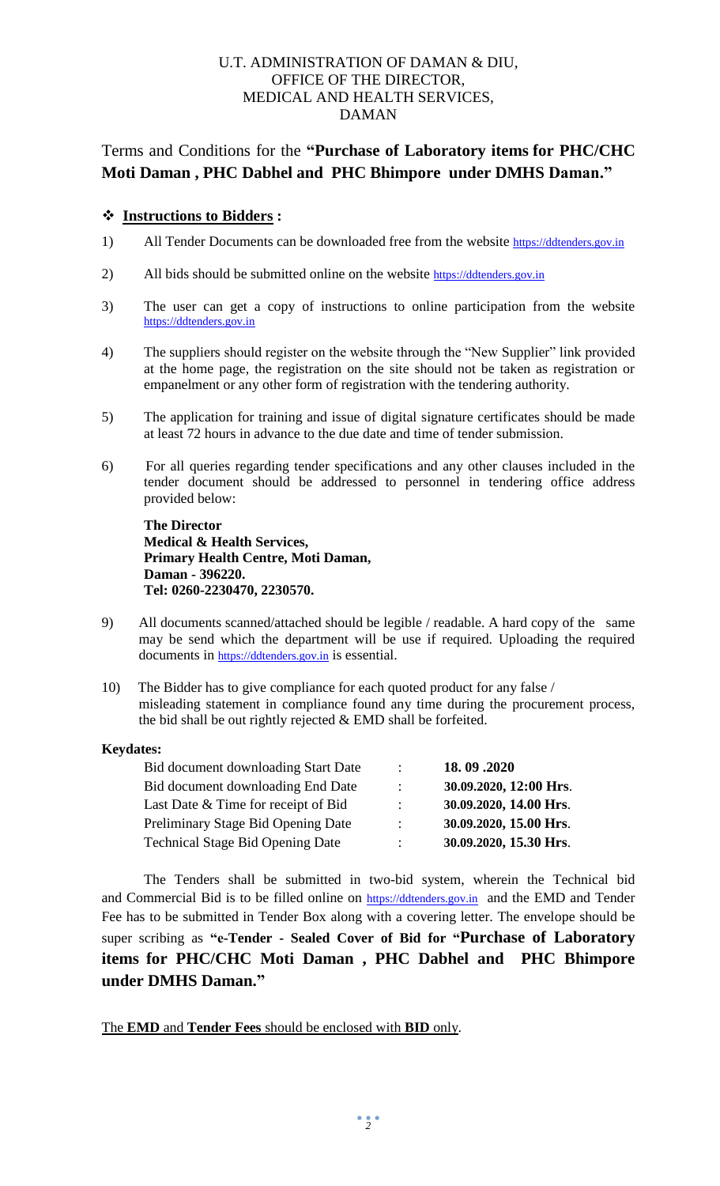#### U.T. ADMINISTRATION OF DAMAN & DIU, OFFICE OF THE DIRECTOR, MEDICAL AND HEALTH SERVICES, DAMAN

# Terms and Conditions for the **"Purchase of Laboratory items for PHC/CHC Moti Daman , PHC Dabhel and PHC Bhimpore under DMHS Daman."**

#### **Instructions to Bidders :**

- 1) All Tender Documents can be downloaded free from the website [https://ddtenders.gov.in](https://ddtenders.gov.in/)
- 2) All bids should be submitted online on the website [https://ddtenders.gov.in](https://ddtenders.gov.in/)
- 3) The user can get a copy of instructions to online participation from the website [https://ddtenders.gov.in](https://ddtenders.gov.in/)
- 4) The suppliers should register on the website through the "New Supplier" link provided at the home page, the registration on the site should not be taken as registration or empanelment or any other form of registration with the tendering authority.
- 5) The application for training and issue of digital signature certificates should be made at least 72 hours in advance to the due date and time of tender submission.
- 6) For all queries regarding tender specifications and any other clauses included in the tender document should be addressed to personnel in tendering office address provided below:

**The Director Medical & Health Services, Primary Health Centre, Moti Daman, Daman - 396220. Tel: 0260-2230470, 2230570.**

- 9) All documents scanned/attached should be legible / readable. A hard copy of the same may be send which the department will be use if required. Uploading the required documents in [https://ddtenders.gov.in](https://ddtenders.gov.in/) is essential.
- 10) The Bidder has to give compliance for each quoted product for any false / misleading statement in compliance found any time during the procurement process, the bid shall be out rightly rejected & EMD shall be forfeited.

#### **Keydates:**

| $\mathbb{R}^{\mathbb{Z}}$ | 18.09.2020             |
|---------------------------|------------------------|
| $\mathcal{L}$             | 30.09.2020, 12:00 Hrs. |
| $\mathcal{L}$             | 30.09.2020, 14.00 Hrs. |
| $\mathbb{R}^n$            | 30.09.2020, 15.00 Hrs. |
| $\mathcal{L}$             | 30.09.2020, 15.30 Hrs. |
|                           |                        |

 The Tenders shall be submitted in two-bid system, wherein the Technical bid and Commercial Bid is to be filled online on [https://ddtenders.gov.in](https://ddtenders.gov.in/) and the EMD and Tender Fee has to be submitted in Tender Box along with a covering letter. The envelope should be super scribing as **"e-Tender - Sealed Cover of Bid for "Purchase of Laboratory items for PHC/CHC Moti Daman , PHC Dabhel and PHC Bhimpore under DMHS Daman."**

The **EMD** and **Tender Fees** should be enclosed with **BID** only.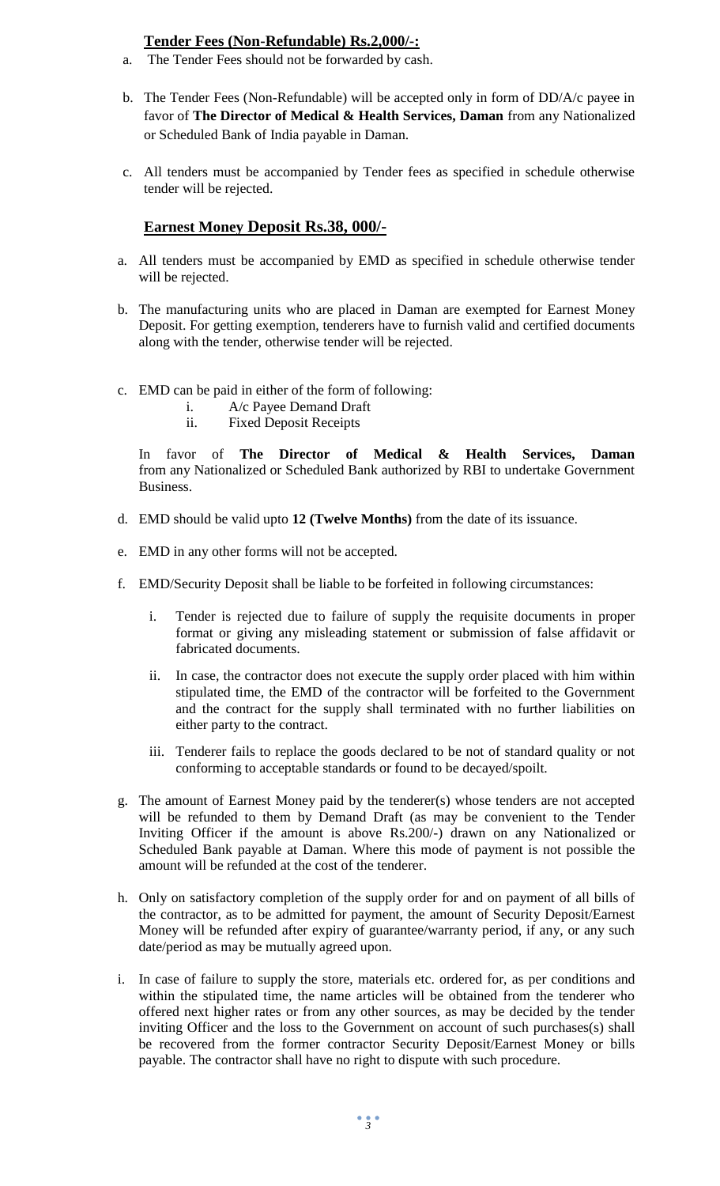#### **Tender Fees (Non-Refundable) Rs.2,000/-:**

- a. The Tender Fees should not be forwarded by cash.
- b. The Tender Fees (Non-Refundable) will be accepted only in form of DD/A/c payee in favor of **The Director of Medical & Health Services, Daman** from any Nationalized or Scheduled Bank of India payable in Daman.
- c. All tenders must be accompanied by Tender fees as specified in schedule otherwise tender will be rejected.

#### **Earnest Money Deposit Rs.38, 000/-**

- a. All tenders must be accompanied by EMD as specified in schedule otherwise tender will be rejected.
- b. The manufacturing units who are placed in Daman are exempted for Earnest Money Deposit. For getting exemption, tenderers have to furnish valid and certified documents along with the tender, otherwise tender will be rejected.
- c. EMD can be paid in either of the form of following:
	- i. A/c Payee Demand Draft
	- ii. Fixed Deposit Receipts

In favor of **The Director of Medical & Health Services, Daman**  from any Nationalized or Scheduled Bank authorized by RBI to undertake Government Business.

- d. EMD should be valid upto **12 (Twelve Months)** from the date of its issuance.
- e. EMD in any other forms will not be accepted.
- f. EMD/Security Deposit shall be liable to be forfeited in following circumstances:
	- i. Tender is rejected due to failure of supply the requisite documents in proper format or giving any misleading statement or submission of false affidavit or fabricated documents.
	- ii. In case, the contractor does not execute the supply order placed with him within stipulated time, the EMD of the contractor will be forfeited to the Government and the contract for the supply shall terminated with no further liabilities on either party to the contract.
	- iii. Tenderer fails to replace the goods declared to be not of standard quality or not conforming to acceptable standards or found to be decayed/spoilt.
- g. The amount of Earnest Money paid by the tenderer(s) whose tenders are not accepted will be refunded to them by Demand Draft (as may be convenient to the Tender Inviting Officer if the amount is above Rs.200/-) drawn on any Nationalized or Scheduled Bank payable at Daman. Where this mode of payment is not possible the amount will be refunded at the cost of the tenderer.
- h. Only on satisfactory completion of the supply order for and on payment of all bills of the contractor, as to be admitted for payment, the amount of Security Deposit/Earnest Money will be refunded after expiry of guarantee/warranty period, if any, or any such date/period as may be mutually agreed upon.
- i. In case of failure to supply the store, materials etc. ordered for, as per conditions and within the stipulated time, the name articles will be obtained from the tenderer who offered next higher rates or from any other sources, as may be decided by the tender inviting Officer and the loss to the Government on account of such purchases(s) shall be recovered from the former contractor Security Deposit/Earnest Money or bills payable. The contractor shall have no right to dispute with such procedure.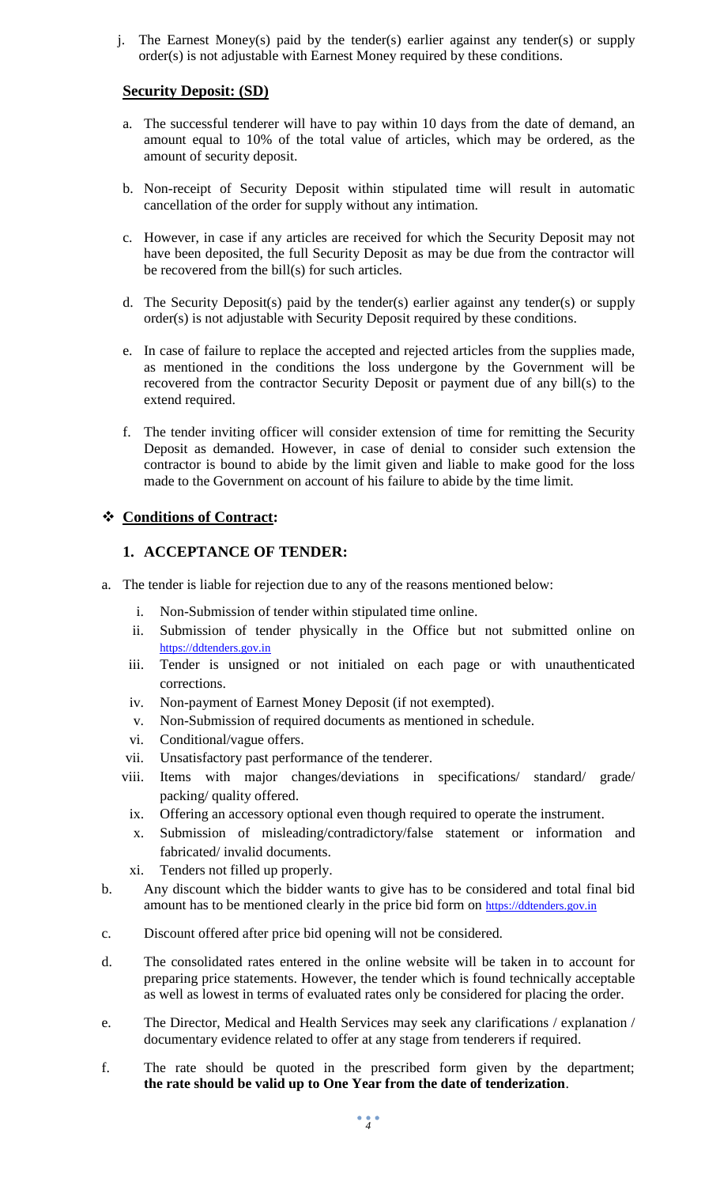j. The Earnest Money(s) paid by the tender(s) earlier against any tender(s) or supply order(s) is not adjustable with Earnest Money required by these conditions.

#### **Security Deposit: (SD)**

- a. The successful tenderer will have to pay within 10 days from the date of demand, an amount equal to 10% of the total value of articles, which may be ordered, as the amount of security deposit.
- b. Non-receipt of Security Deposit within stipulated time will result in automatic cancellation of the order for supply without any intimation.
- c. However, in case if any articles are received for which the Security Deposit may not have been deposited, the full Security Deposit as may be due from the contractor will be recovered from the bill(s) for such articles.
- d. The Security Deposit(s) paid by the tender(s) earlier against any tender(s) or supply order(s) is not adjustable with Security Deposit required by these conditions.
- e. In case of failure to replace the accepted and rejected articles from the supplies made, as mentioned in the conditions the loss undergone by the Government will be recovered from the contractor Security Deposit or payment due of any bill(s) to the extend required.
- f. The tender inviting officer will consider extension of time for remitting the Security Deposit as demanded. However, in case of denial to consider such extension the contractor is bound to abide by the limit given and liable to make good for the loss made to the Government on account of his failure to abide by the time limit.

#### **Conditions of Contract:**

#### **1. ACCEPTANCE OF TENDER:**

- a. The tender is liable for rejection due to any of the reasons mentioned below:
	- i. Non-Submission of tender within stipulated time online.
	- ii. Submission of tender physically in the Office but not submitted online on [https://ddtenders.gov.in](https://ddtenders.gov.in/)
	- iii. Tender is unsigned or not initialed on each page or with unauthenticated corrections.
	- iv. Non-payment of Earnest Money Deposit (if not exempted).
	- v. Non-Submission of required documents as mentioned in schedule.
	- vi. Conditional/vague offers.
	- vii. Unsatisfactory past performance of the tenderer.
	- viii. Items with major changes/deviations in specifications/ standard/ grade/ packing/ quality offered.
	- ix. Offering an accessory optional even though required to operate the instrument.
	- x. Submission of misleading/contradictory/false statement or information and fabricated/ invalid documents.
	- xi. Tenders not filled up properly.
- b. Any discount which the bidder wants to give has to be considered and total final bid amount has to be mentioned clearly in the price bid form on [https://ddtenders.gov.in](https://ddtenders.gov.in/)
- c. Discount offered after price bid opening will not be considered.
- d. The consolidated rates entered in the online website will be taken in to account for preparing price statements. However, the tender which is found technically acceptable as well as lowest in terms of evaluated rates only be considered for placing the order.
- e. The Director, Medical and Health Services may seek any clarifications / explanation / documentary evidence related to offer at any stage from tenderers if required.
- f. The rate should be quoted in the prescribed form given by the department; **the rate should be valid up to One Year from the date of tenderization**.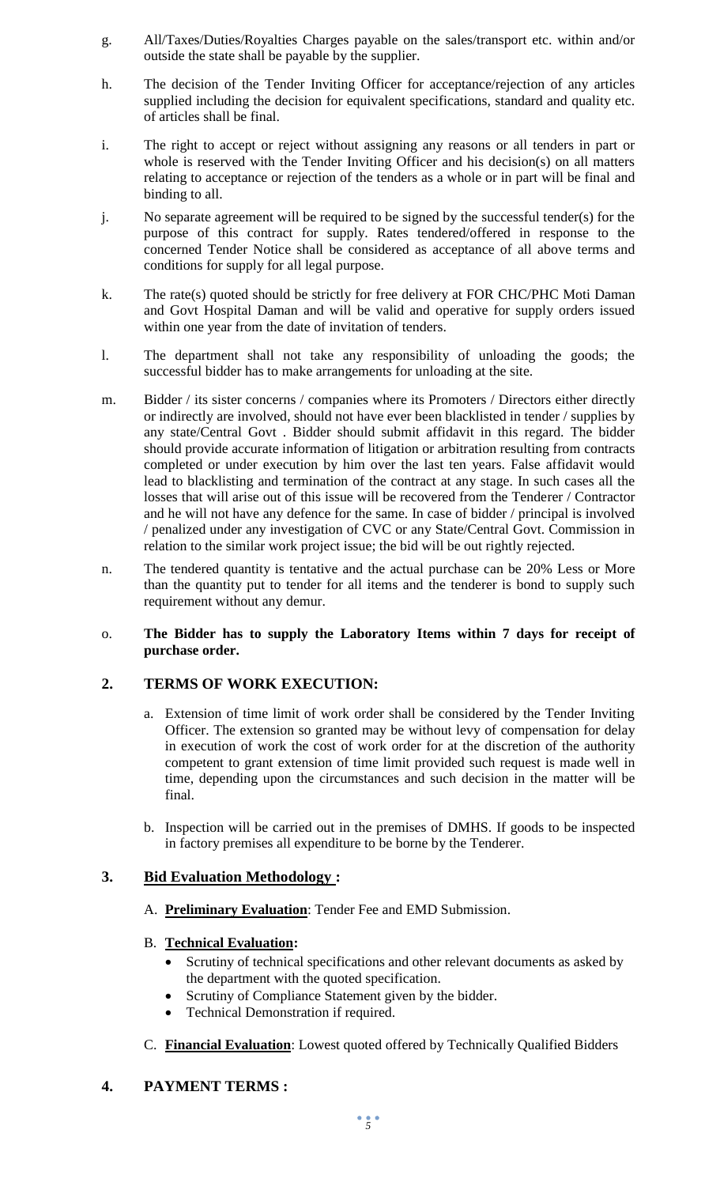- g. All/Taxes/Duties/Royalties Charges payable on the sales/transport etc. within and/or outside the state shall be payable by the supplier.
- h. The decision of the Tender Inviting Officer for acceptance/rejection of any articles supplied including the decision for equivalent specifications, standard and quality etc. of articles shall be final.
- i. The right to accept or reject without assigning any reasons or all tenders in part or whole is reserved with the Tender Inviting Officer and his decision(s) on all matters relating to acceptance or rejection of the tenders as a whole or in part will be final and binding to all.
- j. No separate agreement will be required to be signed by the successful tender(s) for the purpose of this contract for supply. Rates tendered/offered in response to the concerned Tender Notice shall be considered as acceptance of all above terms and conditions for supply for all legal purpose.
- k. The rate(s) quoted should be strictly for free delivery at FOR CHC/PHC Moti Daman and Govt Hospital Daman and will be valid and operative for supply orders issued within one year from the date of invitation of tenders.
- l. The department shall not take any responsibility of unloading the goods; the successful bidder has to make arrangements for unloading at the site.
- m. Bidder / its sister concerns / companies where its Promoters / Directors either directly or indirectly are involved, should not have ever been blacklisted in tender / supplies by any state/Central Govt . Bidder should submit affidavit in this regard. The bidder should provide accurate information of litigation or arbitration resulting from contracts completed or under execution by him over the last ten years. False affidavit would lead to blacklisting and termination of the contract at any stage. In such cases all the losses that will arise out of this issue will be recovered from the Tenderer / Contractor and he will not have any defence for the same. In case of bidder / principal is involved / penalized under any investigation of CVC or any State/Central Govt. Commission in relation to the similar work project issue; the bid will be out rightly rejected.
- n. The tendered quantity is tentative and the actual purchase can be 20% Less or More than the quantity put to tender for all items and the tenderer is bond to supply such requirement without any demur.
- o. **The Bidder has to supply the Laboratory Items within 7 days for receipt of purchase order.**

#### **2. TERMS OF WORK EXECUTION:**

- a. Extension of time limit of work order shall be considered by the Tender Inviting Officer. The extension so granted may be without levy of compensation for delay in execution of work the cost of work order for at the discretion of the authority competent to grant extension of time limit provided such request is made well in time, depending upon the circumstances and such decision in the matter will be final.
- b. Inspection will be carried out in the premises of DMHS. If goods to be inspected in factory premises all expenditure to be borne by the Tenderer.

#### **3. Bid Evaluation Methodology :**

A. **Preliminary Evaluation**: Tender Fee and EMD Submission.

#### B. **Technical Evaluation:**

- Scrutiny of technical specifications and other relevant documents as asked by the department with the quoted specification.
- Scrutiny of Compliance Statement given by the bidder.
- Technical Demonstration if required.
- C. **Financial Evaluation**: Lowest quoted offered by Technically Qualified Bidders

## **4. PAYMENT TERMS :**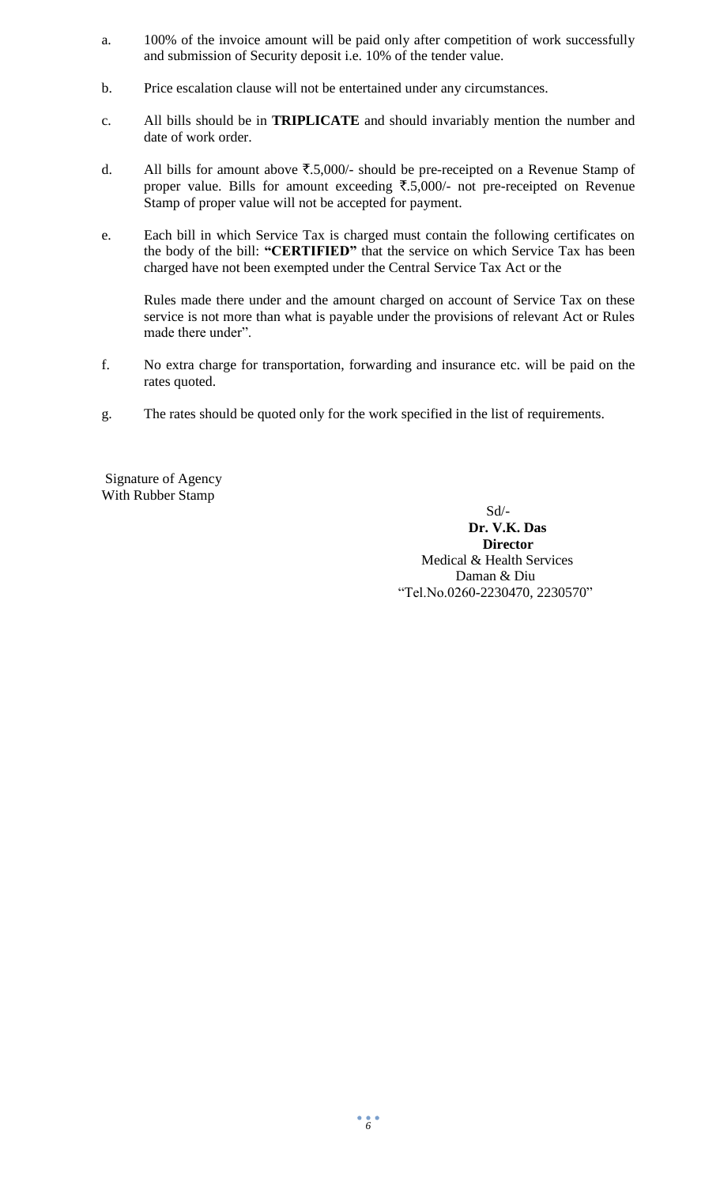- a. 100% of the invoice amount will be paid only after competition of work successfully and submission of Security deposit i.e. 10% of the tender value.
- b. Price escalation clause will not be entertained under any circumstances.
- c. All bills should be in **TRIPLICATE** and should invariably mention the number and date of work order.
- d. All bills for amount above  $\overline{\xi}$ .5,000/- should be pre-receipted on a Revenue Stamp of proper value. Bills for amount exceeding  $\overline{5,5,000}$  not pre-receipted on Revenue Stamp of proper value will not be accepted for payment.
- e. Each bill in which Service Tax is charged must contain the following certificates on the body of the bill: **"CERTIFIED"** that the service on which Service Tax has been charged have not been exempted under the Central Service Tax Act or the

Rules made there under and the amount charged on account of Service Tax on these service is not more than what is payable under the provisions of relevant Act or Rules made there under".

- f. No extra charge for transportation, forwarding and insurance etc. will be paid on the rates quoted.
- g. The rates should be quoted only for the work specified in the list of requirements.

Signature of Agency With Rubber Stamp

> Sd/- **Dr. V.K. Das Director** Medical & Health Services Daman & Diu "Tel.No.0260-2230470, 2230570"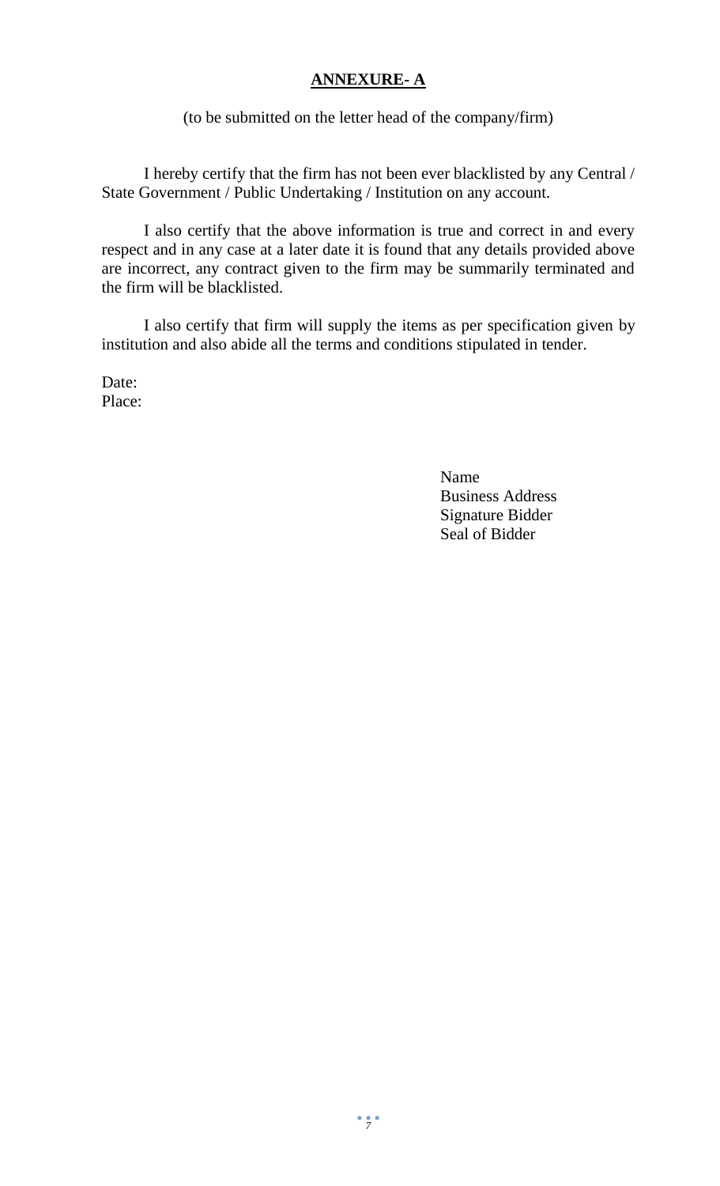# **ANNEXURE- A**

(to be submitted on the letter head of the company/firm)

I hereby certify that the firm has not been ever blacklisted by any Central / State Government / Public Undertaking / Institution on any account.

I also certify that the above information is true and correct in and every respect and in any case at a later date it is found that any details provided above are incorrect, any contract given to the firm may be summarily terminated and the firm will be blacklisted.

I also certify that firm will supply the items as per specification given by institution and also abide all the terms and conditions stipulated in tender.

Date: Place:

> Name Business Address Signature Bidder Seal of Bidder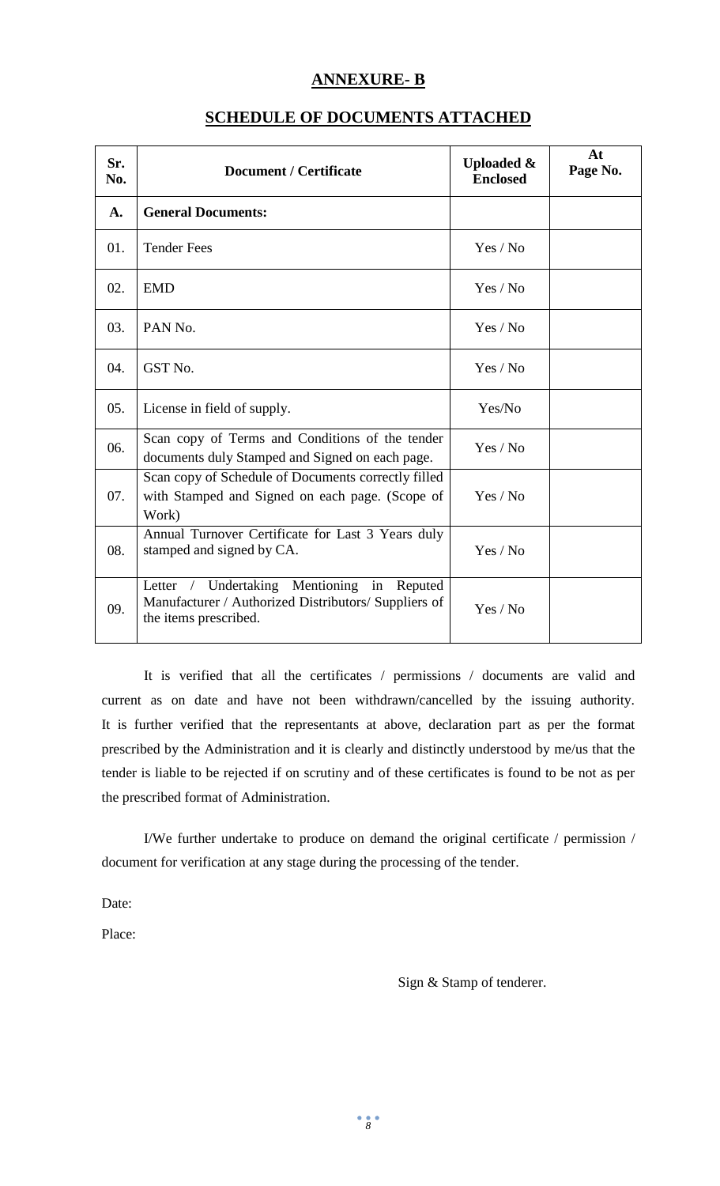#### **ANNEXURE- B**

| Sr.<br>No.     | <b>Document / Certificate</b>                                                                                                     | <b>Uploaded &amp;</b><br><b>Enclosed</b> | At<br>Page No. |
|----------------|-----------------------------------------------------------------------------------------------------------------------------------|------------------------------------------|----------------|
| $\mathbf{A}$ . | <b>General Documents:</b>                                                                                                         |                                          |                |
| 01.            | <b>Tender Fees</b>                                                                                                                | Yes / No                                 |                |
| 02.            | <b>EMD</b>                                                                                                                        | Yes / No                                 |                |
| 03.            | PAN No.                                                                                                                           | Yes / No                                 |                |
| 04.            | GST No.                                                                                                                           | Yes / No                                 |                |
| 05.            | License in field of supply.                                                                                                       | Yes/No                                   |                |
| 06.            | Scan copy of Terms and Conditions of the tender<br>documents duly Stamped and Signed on each page.                                | Yes / No                                 |                |
| 07.            | Scan copy of Schedule of Documents correctly filled<br>with Stamped and Signed on each page. (Scope of<br>Work)                   | Yes / No                                 |                |
| 08.            | Annual Turnover Certificate for Last 3 Years duly<br>stamped and signed by CA.                                                    | Yes / No                                 |                |
| 09.            | / Undertaking Mentioning in<br>Letter<br>Reputed<br>Manufacturer / Authorized Distributors/ Suppliers of<br>the items prescribed. | Yes / No                                 |                |

#### **SCHEDULE OF DOCUMENTS ATTACHED**

It is verified that all the certificates / permissions / documents are valid and current as on date and have not been withdrawn/cancelled by the issuing authority. It is further verified that the representants at above, declaration part as per the format prescribed by the Administration and it is clearly and distinctly understood by me/us that the tender is liable to be rejected if on scrutiny and of these certificates is found to be not as per the prescribed format of Administration.

I/We further undertake to produce on demand the original certificate / permission / document for verification at any stage during the processing of the tender.

Date:

Place:

Sign & Stamp of tenderer.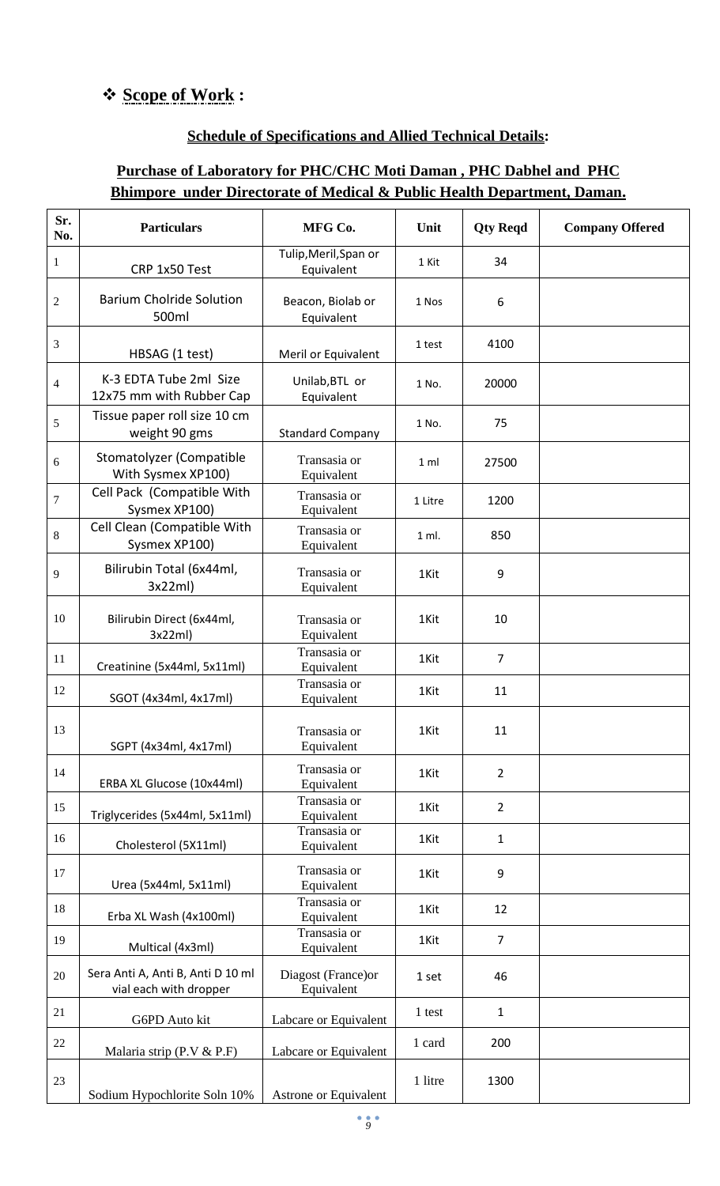# **Scope of Work :**

## **Schedule of Specifications and Allied Technical Details:**

# **Purchase of Laboratory for PHC/CHC Moti Daman , PHC Dabhel and PHC Bhimpore under Directorate of Medical & Public Health Department, Daman.**

| Sr.<br>No.     | <b>Particulars</b>                                          | MFG Co.                             | Unit           | <b>Qty Reqd</b> | <b>Company Offered</b> |
|----------------|-------------------------------------------------------------|-------------------------------------|----------------|-----------------|------------------------|
| $\mathbf{1}$   | CRP 1x50 Test                                               | Tulip, Meril, Span or<br>Equivalent | 1 Kit          | 34              |                        |
| $\overline{c}$ | <b>Barium Cholride Solution</b><br>500ml                    | Beacon, Biolab or<br>Equivalent     | 1 Nos          | 6               |                        |
| 3              | HBSAG (1 test)                                              | Meril or Equivalent                 | 1 test         | 4100            |                        |
| $\overline{4}$ | K-3 EDTA Tube 2ml Size<br>12x75 mm with Rubber Cap          | Unilab, BTL or<br>Equivalent        | 1 No.          | 20000           |                        |
| 5              | Tissue paper roll size 10 cm<br>weight 90 gms               | <b>Standard Company</b>             | 1 No.          | 75              |                        |
| 6              | Stomatolyzer (Compatible<br>With Sysmex XP100)              | Transasia or<br>Equivalent          | 1 <sub>m</sub> | 27500           |                        |
| 7              | Cell Pack (Compatible With<br>Sysmex XP100)                 | Transasia or<br>Equivalent          | 1 Litre        | 1200            |                        |
| $8\,$          | Cell Clean (Compatible With<br>Sysmex XP100)                | Transasia or<br>Equivalent          | 1 ml.          | 850             |                        |
| 9              | Bilirubin Total (6x44ml,<br>3x22ml                          | Transasia or<br>Equivalent          | 1Kit           | 9               |                        |
| 10             | Bilirubin Direct (6x44ml,<br>3x22ml)                        | Transasia or<br>Equivalent          | 1Kit           | 10              |                        |
| 11             | Creatinine (5x44ml, 5x11ml)                                 | Transasia or<br>Equivalent          | 1Kit           | $\overline{7}$  |                        |
| 12             | SGOT (4x34ml, 4x17ml)                                       | Transasia or<br>Equivalent          | 1Kit           | 11              |                        |
| 13             | SGPT (4x34ml, 4x17ml)                                       | Transasia or<br>Equivalent          | 1Kit           | 11              |                        |
| 14             | ERBA XL Glucose (10x44ml)                                   | Transasia or<br>Equivalent          | 1Kit           | $\overline{2}$  |                        |
| 15             | Triglycerides (5x44ml, 5x11ml)                              | Transasia or<br>Equivalent          | 1Kit           | $\overline{2}$  |                        |
| 16             | Cholesterol (5X11ml)                                        | Transasia or<br>Equivalent          | 1Kit           | $\mathbf{1}$    |                        |
| 17             | Urea (5x44ml, 5x11ml)                                       | Transasia or<br>Equivalent          | 1Kit           | 9               |                        |
| 18             | Erba XL Wash (4x100ml)                                      | Transasia or<br>Equivalent          | 1Kit           | 12              |                        |
| 19             | Multical (4x3ml)                                            | Transasia or<br>Equivalent          | 1Kit           | $\overline{7}$  |                        |
| 20             | Sera Anti A, Anti B, Anti D 10 ml<br>vial each with dropper | Diagost (France)or<br>Equivalent    | 1 set          | 46              |                        |
| 21             | G6PD Auto kit                                               | Labcare or Equivalent               | 1 test         | $1\,$           |                        |
| 22             | Malaria strip (P.V & P.F)                                   | Labcare or Equivalent               | 1 card         | 200             |                        |
| 23             | Sodium Hypochlorite Soln 10%                                | Astrone or Equivalent               | 1 litre        | 1300            |                        |